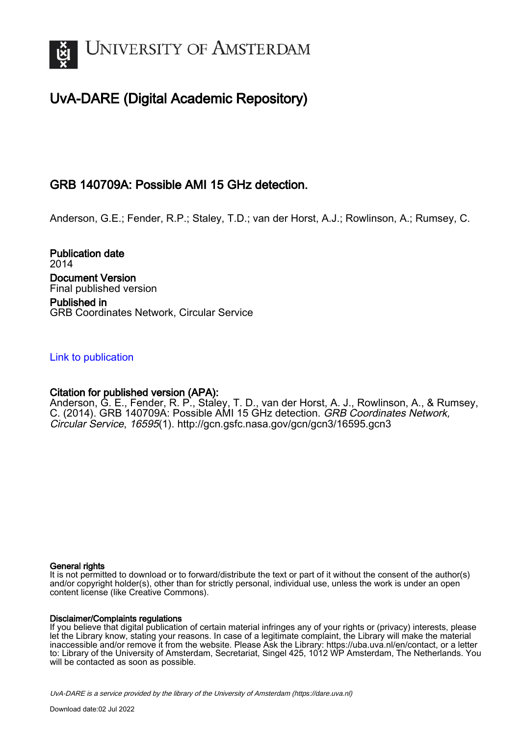

# UvA-DARE (Digital Academic Repository)

## GRB 140709A: Possible AMI 15 GHz detection.

Anderson, G.E.; Fender, R.P.; Staley, T.D.; van der Horst, A.J.; Rowlinson, A.; Rumsey, C.

Publication date 2014 Document Version Final published version Published in

GRB Coordinates Network, Circular Service

### [Link to publication](https://dare.uva.nl/personal/pure/en/publications/grb-140709a-possible-ami-15-ghz-detection(25b4fd6b-cf81-4061-bdb9-f7cba46fa4d2).html)

## Citation for published version (APA):

Anderson, G. E., Fender, R. P., Staley, T. D., van der Horst, A. J., Rowlinson, A., & Rumsey, C. (2014). GRB 140709A: Possible AMI 15 GHz detection. GRB Coordinates Network, Circular Service, 16595(1). <http://gcn.gsfc.nasa.gov/gcn/gcn3/16595.gcn3>

#### General rights

It is not permitted to download or to forward/distribute the text or part of it without the consent of the author(s) and/or copyright holder(s), other than for strictly personal, individual use, unless the work is under an open content license (like Creative Commons).

#### Disclaimer/Complaints regulations

If you believe that digital publication of certain material infringes any of your rights or (privacy) interests, please let the Library know, stating your reasons. In case of a legitimate complaint, the Library will make the material inaccessible and/or remove it from the website. Please Ask the Library: https://uba.uva.nl/en/contact, or a letter to: Library of the University of Amsterdam, Secretariat, Singel 425, 1012 WP Amsterdam, The Netherlands. You will be contacted as soon as possible.

UvA-DARE is a service provided by the library of the University of Amsterdam (http*s*://dare.uva.nl)